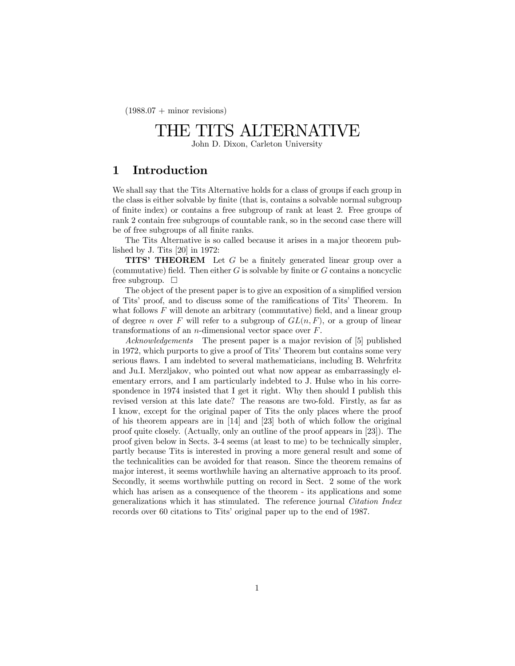$(1988.07 + \text{minor revisions})$ 

# THE TITS ALTERNATIVE

John D. Dixon, Carleton University

# 1 Introduction

We shall say that the Tits Alternative holds for a class of groups if each group in the class is either solvable by finite (that is, contains a solvable normal subgroup of finite index) or contains a free subgroup of rank at least 2. Free groups of rank 2 contain free subgroups of countable rank, so in the second case there will be of free subgroups of all finite ranks.

The Tits Alternative is so called because it arises in a major theorem published by J. Tits [20] in 1972:

**TITS' THEOREM** Let  $G$  be a finitely generated linear group over a (commutative) field. Then either  $G$  is solvable by finite or  $G$  contains a noncyclic free subgroup.  $\Box$ 

The object of the present paper is to give an exposition of a simplified version of Tits' proof, and to discuss some of the ramifications of Tits' Theorem. In what follows  $F$  will denote an arbitrary (commutative) field, and a linear group of degree n over F will refer to a subgroup of  $GL(n, F)$ , or a group of linear transformations of an n-dimensional vector space over F.

*Acknowledgements* The present paper is a major revision of [5] published in 1972, which purports to give a proof of Tits' Theorem but contains some very serious flaws. I am indebted to several mathematicians, including B. Wehrfritz and Ju.I. Merzljakov, who pointed out what now appear as embarrassingly elementary errors, and I am particularly indebted to J. Hulse who in his correspondence in 1974 insisted that I get it right. Why then should I publish this revised version at this late date? The reasons are two-fold. Firstly, as far as I know, except for the original paper of Tits the only places where the proof of his theorem appears are in [14] and [23] both of which follow the original proof quite closely. (Actually, only an outline of the proof appears in [23]). The proof given below in Sects. 3-4 seems (at least to me) to be technically simpler, partly because Tits is interested in proving a more general result and some of the technicalities can be avoided for that reason. Since the theorem remains of major interest, it seems worthwhile having an alternative approach to its proof. Secondly, it seems worthwhile putting on record in Sect. 2 some of the work which has arisen as a consequence of the theorem - its applications and some generalizations which it has stimulated. The reference journal *Citation Index* records over 60 citations to Tits' original paper up to the end of 1987.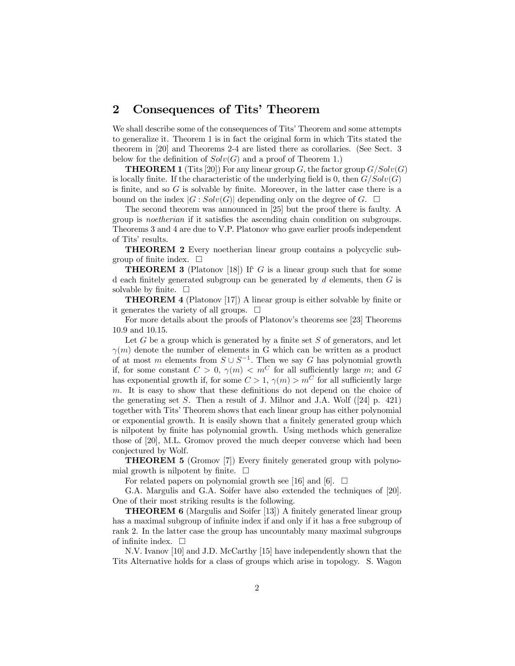# 2 Consequences of Tits' Theorem

We shall describe some of the consequences of Tits' Theorem and some attempts to generalize it. Theorem 1 is in fact the original form in which Tits stated the theorem in [20] and Theorems 2-4 are listed there as corollaries. (See Sect. 3 below for the definition of  $Solv(G)$  and a proof of Theorem 1.)

**THEOREM 1** (Tits [20]) For any linear group G, the factor group  $G/Solv(G)$ is locally finite. If the characteristic of the underlying field is 0, then  $G/Solv(G)$ is finite, and so  $G$  is solvable by finite. Moreover, in the latter case there is a bound on the index  $|G : Solv(G)|$  depending only on the degree of G.  $\Box$ 

The second theorem was announced in [25] but the proof there is faulty. A group is *noetherian* if it satisfies the ascending chain condition on subgroups. Theorems 3 and 4 are due to V.P. Platonov who gave earlier proofs independent of Tits' results.

THEOREM 2 Every noetherian linear group contains a polycyclic subgroup of finite index.  $\Box$ 

**THEOREM 3** (Platonov [18]) If  $G$  is a linear group such that for some d each finitely generated subgroup can be generated by  $d$  elements, then  $G$  is solvable by finite.  $\Box$ 

**THEOREM 4** (Platonov [17]) A linear group is either solvable by finite or it generates the variety of all groups.  $\Box$ 

For more details about the proofs of Platonov's theorems see [23] Theorems 10.9 and 10.15.

Let  $G$  be a group which is generated by a finite set  $S$  of generators, and let  $\gamma(m)$  denote the number of elements in G which can be written as a product of at most m elements from  $S \cup S^{-1}$ . Then we say G has polynomial growth if, for some constant  $C > 0$ ,  $\gamma(m) < m^C$  for all sufficiently large m; and G has exponential growth if, for some  $C > 1$ ,  $\gamma(m) > m^C$  for all sufficiently large m. It is easy to show that these definitions do not depend on the choice of the generating set  $S$ . Then a result of J. Milnor and J.A. Wolf ([24] p. 421) together with Tits' Theorem shows that each linear group has either polynomial or exponential growth. It is easily shown that a finitely generated group which is nilpotent by finite has polynomial growth. Using methods which generalize those of [20], M.L. Gromov proved the much deeper converse which had been conjectured by Wolf.

**THEOREM 5** (Gromov [7]) Every finitely generated group with polynomial growth is nilpotent by finite.  $\Box$ 

For related papers on polynomial growth see [16] and [6].  $\Box$ 

G.A. Margulis and G.A. Soifer have also extended the techniques of [20]. One of their most striking results is the following.

**THEOREM 6** (Margulis and Soifer [13]) A finitely generated linear group has a maximal subgroup of infinite index if and only if it has a free subgroup of rank 2. In the latter case the group has uncountably many maximal subgroups of infinite index.  $\Box$ 

N.V. Ivanov [10] and J.D. McCarthy [15] have independently shown that the Tits Alternative holds for a class of groups which arise in topology. S. Wagon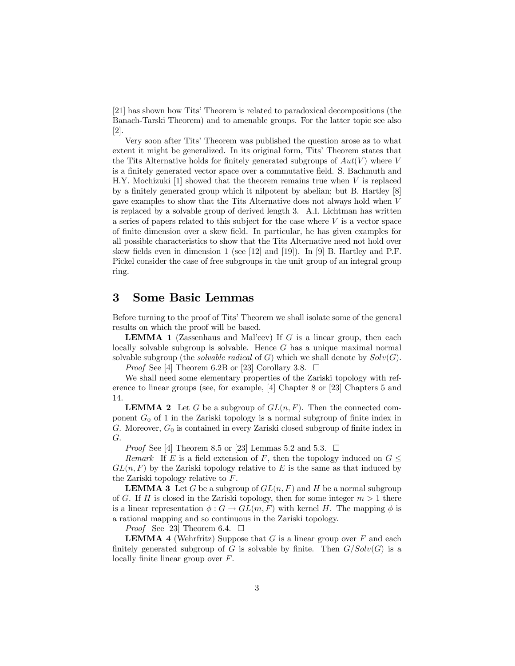[21] has shown how Tits' Theorem is related to paradoxical decompositions (the Banach-Tarski Theorem) and to amenable groups. For the latter topic see also [2].

Very soon after Tits' Theorem was published the question arose as to what extent it might be generalized. In its original form, Tits' Theorem states that the Tits Alternative holds for finitely generated subgroups of  $Aut(V)$  where V is a finitely generated vector space over a commutative field. S. Bachmuth and H.Y. Mochizuki [1] showed that the theorem remains true when V is replaced by a finitely generated group which it nilpotent by abelian; but B. Hartley  $[8]$ gave examples to show that the Tits Alternative does not always hold when V is replaced by a solvable group of derived length 3. A.I. Lichtman has written a series of papers related to this subject for the case where  $V$  is a vector space of finite dimension over a skew field. In particular, he has given examples for all possible characteristics to show that the Tits Alternative need not hold over skew fields even in dimension 1 (see [12] and [19]). In [9] B. Hartley and P.F. Pickel consider the case of free subgroups in the unit group of an integral group ring.

### 3 Some Basic Lemmas

Before turning to the proof of Tits' Theorem we shall isolate some of the general results on which the proof will be based.

**LEMMA 1** (Zassenhaus and Mal'cev) If G is a linear group, then each locally solvable subgroup is solvable. Hence G has a unique maximal normal solvable subgroup (the *solvable radical* of  $G$ ) which we shall denote by  $Solv(G)$ .

*Proof* See [4] Theorem 6.2B or [23] Corollary 3.8.  $\Box$ 

We shall need some elementary properties of the Zariski topology with reference to linear groups (see, for example, [4] Chapter 8 or [23] Chapters 5 and 14.

**LEMMA 2** Let G be a subgroup of  $GL(n, F)$ . Then the connected component  $G_0$  of 1 in the Zariski topology is a normal subgroup of finite index in G. Moreover,  $G_0$  is contained in every Zariski closed subgroup of finite index in G.

*Proof* See [4] Theorem 8.5 or [23] Lemmas 5.2 and 5.3.  $\Box$ 

*Remark* If E is a field extension of F, then the topology induced on  $G \leq$  $GL(n, F)$  by the Zariski topology relative to E is the same as that induced by the Zariski topology relative to F.

**LEMMA 3** Let G be a subgroup of  $GL(n, F)$  and H be a normal subgroup of G. If H is closed in the Zariski topology, then for some integer  $m > 1$  there is a linear representation  $\phi : G \to GL(m, F)$  with kernel H. The mapping  $\phi$  is a rational mapping and so continuous in the Zariski topology.

*Proof* See [23] Theorem 6.4.  $\Box$ 

**LEMMA 4** (Wehrfritz) Suppose that  $G$  is a linear group over  $F$  and each finitely generated subgroup of G is solvable by finite. Then  $G/Solv(G)$  is a locally finite linear group over  $F$ .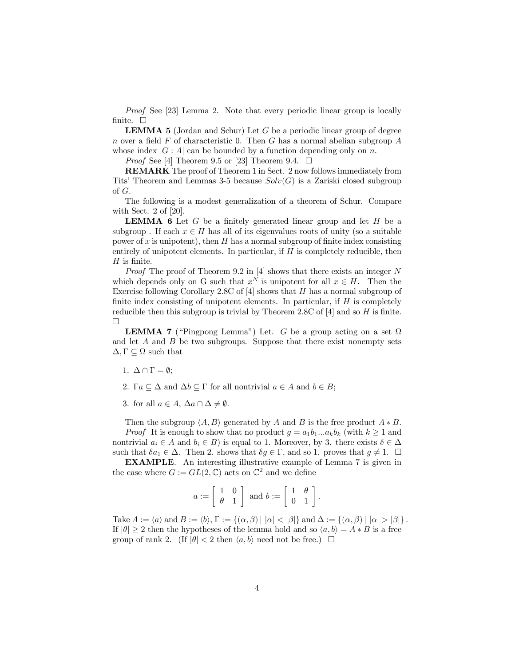*Proof* See [23] Lemma 2. Note that every periodic linear group is locally finite.  $\square$ 

LEMMA 5 (Jordan and Schur) Let G be a periodic linear group of degree n over a field F of characteristic 0. Then G has a normal abelian subgroup  $A$ whose index  $|G : A|$  can be bounded by a function depending only on n.

*Proof* See [4] Theorem 9.5 or [23] Theorem 9.4.  $\Box$ 

REMARK The proof of Theorem 1 in Sect. 2 now follows immediately from Tits' Theorem and Lemmas 3-5 because  $Solv(G)$  is a Zariski closed subgroup of G.

The following is a modest generalization of a theorem of Schur. Compare with Sect. 2 of [20].

**LEMMA 6** Let  $G$  be a finitely generated linear group and let  $H$  be a subgroup. If each  $x \in H$  has all of its eigenvalues roots of unity (so a suitable power of x is unipotent), then H has a normal subgroup of finite index consisting entirely of unipotent elements. In particular, if  $H$  is completely reducible, then  $H$  is finite.

*Proof* The proof of Theorem 9.2 in [4] shows that there exists an integer N which depends only on G such that  $x^N$  is unipotent for all  $x \in H$ . Then the Exercise following Corollary 2.8C of  $[4]$  shows that H has a normal subgroup of finite index consisting of unipotent elements. In particular, if  $H$  is completely reducible then this subgroup is trivial by Theorem 2.8C of  $|4|$  and so H is finite. ¤

**LEMMA 7** ("Pingpong Lemma") Let. G be a group acting on a set  $\Omega$ and let  $A$  and  $B$  be two subgroups. Suppose that there exist nonempty sets  $\Delta, \Gamma \subseteq \Omega$  such that

- 1.  $\Delta \cap \Gamma = \emptyset;$
- 2.  $\Gamma a \subseteq \Delta$  and  $\Delta b \subseteq \Gamma$  for all nontrivial  $a \in A$  and  $b \in B$ ;
- 3. for all  $a \in A$ ,  $\Delta a \cap \Delta \neq \emptyset$ .

Then the subgroup  $\langle A, B \rangle$  generated by A and B is the free product  $A * B$ .

*Proof* It is enough to show that no product  $q = a_1b_1...a_kb_k$  (with  $k \ge 1$  and nontrivial  $a_i \in A$  and  $b_i \in B$ ) is equal to 1. Moreover, by 3. there exists  $\delta \in \Delta$ such that  $\delta a_1 \in \Delta$ . Then 2. shows that  $\delta g \in \Gamma$ , and so 1. proves that  $g \neq 1$ .  $\Box$ 

EXAMPLE*.* An interesting illustrative example of Lemma 7 is given in the case where  $G := GL(2, \mathbb{C})$  acts on  $\mathbb{C}^2$  and we define

$$
a := \left[ \begin{array}{cc} 1 & 0 \\ \theta & 1 \end{array} \right] \text{ and } b := \left[ \begin{array}{cc} 1 & \theta \\ 0 & 1 \end{array} \right].
$$

Take  $A := \langle a \rangle$  and  $B := \langle b \rangle$ ,  $\Gamma := \{(\alpha, \beta) \mid |\alpha| < |\beta|\}$  and  $\Delta := \{(\alpha, \beta) \mid |\alpha| > |\beta|\}$ . If  $|\theta| \ge 2$  then the hypotheses of the lemma hold and so  $\langle a, b \rangle = A * B$  is a free group of rank 2. (If  $|\theta| < 2$  then  $\langle a, b \rangle$  need not be free.)  $\Box$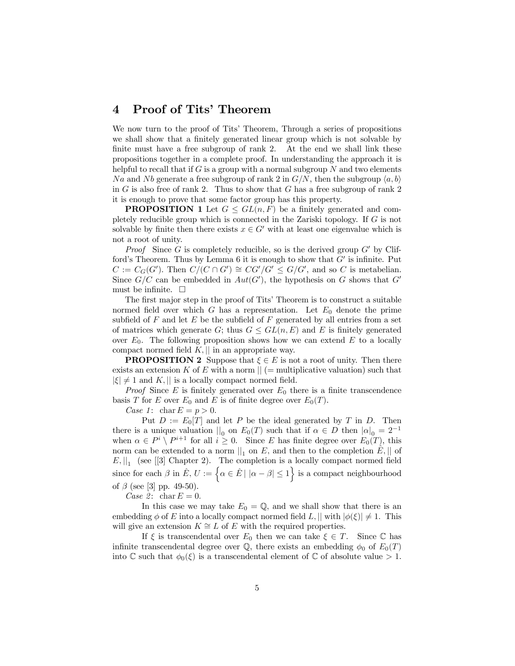### 4 Proof of Tits' Theorem

We now turn to the proof of Tits' Theorem, Through a series of propositions we shall show that a finitely generated linear group which is not solvable by finite must have a free subgroup of rank 2. At the end we shall link these propositions together in a complete proof. In understanding the approach it is helpful to recall that if G is a group with a normal subgroup  $N$  and two elements Na and Nb generate a free subgroup of rank 2 in  $G/N$ , then the subgroup  $\langle a, b \rangle$ in  $G$  is also free of rank 2. Thus to show that  $G$  has a free subgroup of rank 2 it is enough to prove that some factor group has this property.

**PROPOSITION 1** Let  $G \le GL(n, F)$  be a finitely generated and completely reducible group which is connected in the Zariski topology. If G is not solvable by finite then there exists  $x \in G'$  with at least one eigenvalue which is not a root of unity.

*Proof* Since G is completely reducible, so is the derived group  $G'$  by Clifford's Theorem. Thus by Lemma 6 it is enough to show that  $G'$  is infinite. Put  $C := C_G(G')$ . Then  $C/(C \cap G') \cong CG'/G' \leq G/G'$ , and so C is metabelian. Since  $G/C$  can be embedded in  $Aut(G')$ , the hypothesis on G shows that G' must be infinite.  $\Box$ 

The first major step in the proof of Tits' Theorem is to construct a suitable normed field over which G has a representation. Let  $E_0$  denote the prime subfield of  $F$  and let  $E$  be the subfield of  $F$  generated by all entries from a set of matrices which generate  $G$ ; thus  $G \leq GL(n, E)$  and E is finitely generated over  $E_0$ . The following proposition shows how we can extend  $E$  to a locally compact normed field  $K$ ,  $\parallel$  in an appropriate way.

**PROPOSITION 2** Suppose that  $\xi \in E$  is not a root of unity. Then there exists an extension K of E with a norm  $\|$  (= multiplicative valuation) such that  $|\xi| \neq 1$  and K; j is a locally compact normed field.

*Proof* Since E is finitely generated over  $E_0$  there is a finite transcendence basis T for E over  $E_0$  and E is of finite degree over  $E_0(T)$ .

*Case 1*:  $\text{char } E = p > 0.$ 

Put  $D := E_0[T]$  and let P be the ideal generated by T in D. Then there is a unique valuation  $\vert\vert_0$  on  $E_0(T)$  such that if  $\alpha \in D$  then  $|\alpha|_0 = 2^{-1}$ when  $\alpha \in P^i \setminus P^{i+1}$  for all  $i \geq 0$ . Since E has finite degree over  $E_0(T)$ , this norm can be extended to a norm  $||_1$  on E, and then to the completion  $\hat{E}$ ,  $||$  of  $E, \vert \vert_1 \vert$  (see [[3] Chapter 2). The completion is a locally compact normed field since for each  $\beta$  in  $\hat{E}, U := \left\{ \alpha \in \hat{E} \mid |\alpha - \beta| \leq 1 \right\}$  is a compact neighbourhood of  $\beta$  (see [3] pp. 49-50).

*Case 2*: char  $E = 0$ .

In this case we may take  $E_0 = \mathbb{Q}$ , and we shall show that there is an embedding  $\phi$  of E into a locally compact normed field L,  $|| \text{ with } |\phi(\xi)| \neq 1$ . This will give an extension  $K \cong L$  of E with the required properties.

If  $\xi$  is transcendental over  $E_0$  then we can take  $\xi \in T$ . Since  $\mathbb C$  has infinite transcendental degree over  $\mathbb Q$ , there exists an embedding  $\phi_0$  of  $E_0(T)$ into  $\mathbb C$  such that  $\phi_0(\xi)$  is a transcendental element of  $\mathbb C$  of absolute value  $>1$ .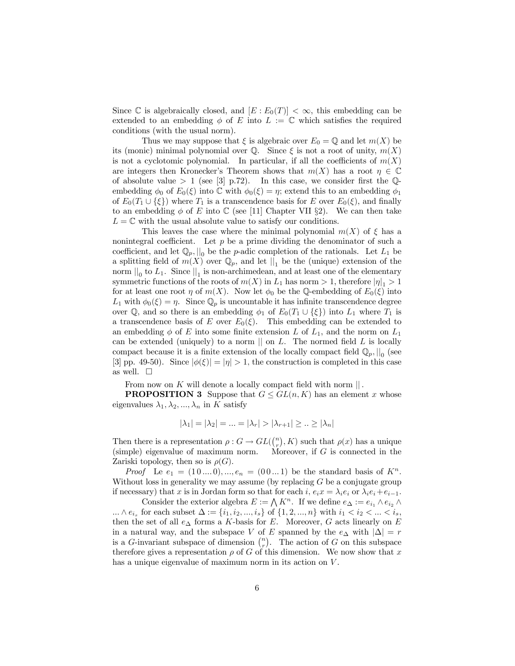Since C is algebraically closed, and  $[E: E_0(T)] < \infty$ , this embedding can be extended to an embedding  $\phi$  of E into  $L := \mathbb{C}$  which satisfies the required conditions (with the usual norm).

Thus we may suppose that  $\xi$  is algebraic over  $E_0 = \mathbb{Q}$  and let  $m(X)$  be its (monic) minimal polynomial over  $\mathbb Q$ . Since  $\xi$  is not a root of unity,  $m(X)$ is not a cyclotomic polynomial. In particular, if all the coefficients of  $m(X)$ are integers then Kronecker's Theorem shows that  $m(X)$  has a root  $\eta \in \mathbb{C}$ of absolute value  $> 1$  (see [3] p.72). In this case, we consider first the Qembedding  $\phi_0$  of  $E_0(\xi)$  into  $\mathbb C$  with  $\phi_0(\xi) = \eta$ ; extend this to an embedding  $\phi_1$ of  $E_0(T_1 \cup {\xi})$  where  $T_1$  is a transcendence basis for E over  $E_0(\xi)$ , and finally to an embedding  $\phi$  of E into C (see [11] Chapter VII §2). We can then take  $L = \mathbb{C}$  with the usual absolute value to satisfy our conditions.

This leaves the case where the minimal polynomial  $m(X)$  of  $\xi$  has a nonintegral coefficient. Let  $p$  be a prime dividing the denominator of such a coefficient, and let  $\mathbb{Q}_p$ ,  $\parallel_0$  be the *p*-adic completion of the rationals. Let  $L_1$  be a splitting field of  $m(X)$  over  $\mathbb{Q}_p$ , and let  $\vert \vert_1$  be the (unique) extension of the norm  $\parallel_0$  to  $L_1$ . Since  $\parallel_1$  is non-archimedean, and at least one of the elementary symmetric functions of the roots of  $m(X)$  in  $L_1$  has norm  $> 1$ , therefore  $|\eta|_1 > 1$ for at least one root  $\eta$  of  $m(X)$ . Now let  $\phi_0$  be the Q-embedding of  $E_0(\xi)$  into  $L_1$  with  $\phi_0(\xi) = \eta$ . Since  $\mathbb{Q}_p$  is uncountable it has infinite transcendence degree over Q, and so there is an embedding  $\phi_1$  of  $E_0(T_1 \cup {\{\xi\}})$  into  $L_1$  where  $T_1$  is a transcendence basis of E over  $E_0(\xi)$ . This embedding can be extended to an embedding  $\phi$  of E into some finite extension L of  $L_1$ , and the norm on  $L_1$ can be extended (uniquely) to a norm  $\parallel$  on  $L$ . The normed field  $L$  is locally compact because it is a finite extension of the locally compact field  $\mathbb{Q}_p$ ,  $\mathbb{Q}_0$  (see [3] pp. 49-50). Since  $|\phi(\xi)| = |\eta| > 1$ , the construction is completed in this case as well.  $\square$ 

From now on  $K$  will denote a locally compact field with norm  $\parallel$ .

**PROPOSITION 3** Suppose that  $G \le GL(n, K)$  has an element x whose eigenvalues  $\lambda_1, \lambda_2, ..., \lambda_n$  in K satisfy

$$
|\lambda_1| = |\lambda_2| = \dots = |\lambda_r| > |\lambda_{r+1}| \ge \dots \ge |\lambda_n|
$$

Then there is a representation  $\rho: G \to GL(\binom{n}{r}, K)$  such that  $\rho(x)$  has a unique  $(simple)$  eigenvalue of maximum norm. Moreover, if  $G$  is connected in the Zariski topology, then so is  $\rho(G)$ .

*Proof* Le  $e_1 = (10...0), ..., e_n = (00...1)$  be the standard basis of  $K^n$ . Without loss in generality we may assume (by replacing  $G$  be a conjugate group if necessary) that x is in Jordan form so that for each i,  $e_i x = \lambda_i e_i$  or  $\lambda_i e_i + e_{i-1}$ .

Consider the exterior algebra  $E := \bigwedge K^n$ . If we define  $e_{\Delta} := e_{i_1} \wedge e_{i_2} \wedge$ ...  $\wedge e_{i_s}$  for each subset  $\Delta := \{i_1, i_2, ..., i_s\}$  of  $\{1, 2, ..., n\}$  with  $i_1 < i_2 < ... < i_s$ , then the set of all  $e_{\Delta}$  forms a K-basis for E. Moreover, G acts linearly on E in a natural way, and the subspace V of E spanned by the  $e_{\Delta}$  with  $|\Delta| = r$ is a G-invariant subspace of dimension  $\binom{n}{r}$ . The action of G on this subspace therefore gives a representation  $\rho$  of G of this dimension. We now show that x has a unique eigenvalue of maximum norm in its action on  $V$ .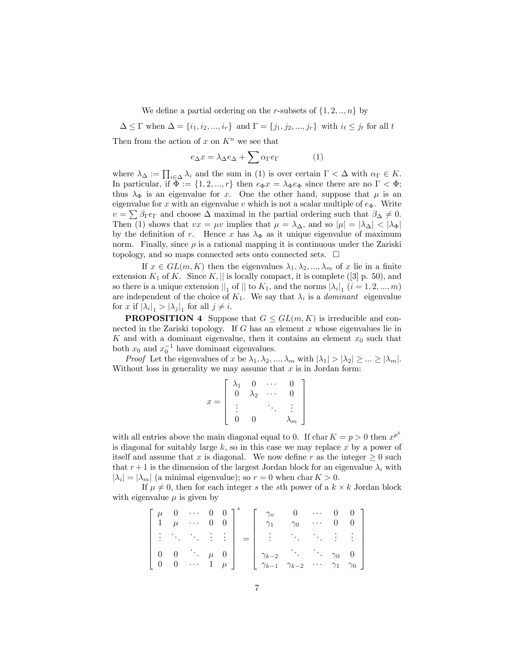We define a partial ordering on the r-subsets of  $\{1, 2, \ldots, n\}$  by

 $\Delta \leq \Gamma$  when  $\Delta = \{i_1, i_2, ..., i_r\}$  and  $\Gamma = \{j_1, j_2, ..., j_r\}$  with  $i_t \leq j_t$  for all t Then from the action of x on  $K<sup>n</sup>$  we see that

$$
e_{\Delta}x = \lambda_{\Delta}e_{\Delta} + \sum \alpha_{\Gamma}e_{\Gamma} \tag{1}
$$

where  $\lambda_{\Delta} := \prod_{i \in \Delta} \lambda_i$  and the sum in (1) is over certain  $\Gamma < \Delta$  with  $\alpha_{\Gamma} \in K$ . In particular, if  $\Phi := \{1, 2, ..., r\}$  then  $e_{\Phi}x = \lambda_{\Phi}e_{\Phi}$  since there are no  $\Gamma < \Phi$ ; thus  $\lambda_{\Phi}$  is an eigenvalue for x. One the other hand, suppose that  $\mu$  is an eigenvalue for x with an eigenvalue v which is not a scalar multiple of  $e_{\Phi}$ . Write  $v = \sum \beta_{\Gamma} e_{\Gamma}$  and choose  $\Delta$  maximal in the partial ordering such that  $\beta_{\Delta} \neq 0$ . Then (1) shows that  $vx = \mu v$  implies that  $\mu = \lambda_{\Delta}$ , and so  $|\mu| = |\lambda_{\Delta}| < |\lambda_{\Phi}|$ by the definition of r. Hence x has  $\lambda_{\Phi}$  as it unique eigenvalue of maximum norm. Finally, since  $\rho$  is a rational mapping it is continuous under the Zariski topology, and so maps connected sets onto connected sets.  $\Box$ 

If  $x \in GL(m, K)$  then the eigenvalues  $\lambda_1, \lambda_2, ..., \lambda_m$  of x lie in a finite extension  $K_1$  of K. Since  $K$ ,  $||$  is locally compact, it is complete ([3] p. 50), and so there is a unique extension  $\parallel_1$  of  $\parallel$  to  $K_1$ , and the norms  $|\lambda_i|_1$   $(i = 1, 2, ..., m)$ are independent of the choice of  $K_1$ . We say that  $\lambda_i$  is a *dominant* eigenvalue for x if  $|\lambda_i|_1 > |\lambda_j|_1$  for all  $j \neq i$ .

**PROPOSITION 4** Suppose that  $G \le GL(m, K)$  is irreducible and connected in the Zariski topology. If  $G$  has an element  $x$  whose eigenvalues lie in K and with a dominant eigenvalue, then it contains an element  $x_0$  such that both  $x_0$  and  $x_0^{-1}$  have dominant eigenvalues.

*Proof* Let the eigenvalues of x be  $\lambda_1, \lambda_2, ..., \lambda_m$  with  $|\lambda_1| > |\lambda_2| \ge ... \ge |\lambda_m|$ . Without loss in generality we may assume that  $x$  is in Jordan form:

|   | \1 | 0                      |              |  |
|---|----|------------------------|--------------|--|
|   |    | V<br>$\mathcal{L}_{2}$ |              |  |
| x |    |                        |              |  |
|   |    | ١.                     | $\mathsf{m}$ |  |

with all entries above the main diagonal equal to 0. If char  $K = p > 0$  then  $x^{p^k}$ is diagonal for suitably large  $k$ , so in this case we may replace x by a power of itself and assume that x is diagonal. We now define r as the integer  $\geq 0$  such that  $r+1$  is the dimension of the largest Jordan block for an eigenvalue  $\lambda_i$  with  $|\lambda_i| = |\lambda_m|$  (a minimal eigenvalue); so  $r = 0$  when char  $K > 0$ .

If  $\mu \neq 0$ , then for each integer s the sth power of a  $k \times k$  Jordan block with eigenvalue  $\mu$  is given by

|  | $\mu$ 0 $\cdots$ 0 0 ] <sup>8</sup><br>$\begin{vmatrix} 1 & \mu & \cdots & 0 & 0 \end{vmatrix}$ |  | $\gamma_o$<br>$\gamma_1$                                                                                                                                                                                                                                |  | $0 \cdots 0 0$ ]<br>$\gamma_0$ 0 0 |
|--|-------------------------------------------------------------------------------------------------|--|---------------------------------------------------------------------------------------------------------------------------------------------------------------------------------------------------------------------------------------------------------|--|------------------------------------|
|  |                                                                                                 |  |                                                                                                                                                                                                                                                         |  |                                    |
|  |                                                                                                 |  | $\left[\begin{array}{cccccc} 0 & 0 & \cdots & \mu & 0 \\ 0 & 0 & \cdots & 1 & \mu \end{array}\right] \left[\begin{array}{cccccc} \gamma_{k-2} & \cdots & \gamma_0 & 0 \\ \gamma_{k-1} & \gamma_{k-2} & \cdots & \gamma_1 & \gamma_0 \end{array}\right]$ |  |                                    |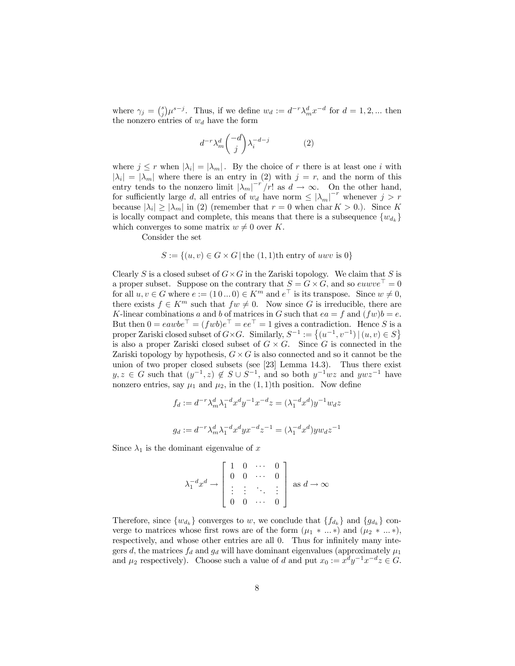where  $\gamma_j = \binom{s}{j} \mu^{s-j}$ . Thus, if we define  $w_d := d^{-r} \lambda_m^d x^{-d}$  for  $d = 1, 2, ...$  then the nonzero entries of  $w_d$  have the form

$$
d^{-r} \lambda_m^d \binom{-d}{j} \lambda_i^{-d-j} \tag{2}
$$

where  $j \leq r$  when  $|\lambda_i| = |\lambda_m|$ . By the choice of r there is at least one i with  $|\lambda_i| = |\lambda_m|$  where there is an entry in (2) with  $j = r$ , and the norm of this entry tends to the nonzero limit  $|\lambda_m|^{-r}/r!$  as  $d \to \infty$ . On the other hand, for sufficiently large d, all entries of  $w_d$  have norm  $\leq |\lambda_m|^{-r}$  whenever  $j > r$ because  $|\lambda_i| \ge |\lambda_m|$  in (2) (remember that  $r = 0$  when char  $K > 0$ .). Since K is locally compact and complete, this means that there is a subsequence  $\{w_{d_k}\}$ which converges to some matrix  $w \neq 0$  over K.

Consider the set

#### $S := \{(u, v) \in G \times G | \text{ the } (1, 1) \text{th entry of } u w v \text{ is } 0\}$

Clearly S is a closed subset of  $G \times G$  in the Zariski topology. We claim that S is a proper subset. Suppose on the contrary that  $S = G \times G$ , and so euwve  $= 0$ for all  $u, v \in G$  where  $e := (1 \ 0 \dots 0) \in K^m$  and  $e^{\top}$  is its transpose. Since  $w \neq 0$ , there exists  $f \in K^m$  such that  $fw \neq 0$ . Now since G is irreducible, there are K-linear combinations a and b of matrices in G such that  $ea = f$  and  $(fw)b = e$ . But then  $0 = eawbe^+ = (fwb)e^+ = ee^+ = 1$  gives a contradiction. Hence S is a proper Zariski closed subset of  $G \times G$ . Similarly,  $S^{-1} := \{(u^{-1}, v^{-1}) | (u, v) \in S\}$ is also a proper Zariski closed subset of  $G \times G$ . Since G is connected in the Zariski topology by hypothesis,  $G \times G$  is also connected and so it cannot be the union of two proper closed subsets (see [23] Lemma 14.3). Thus there exist  $y, z \in G$  such that  $(y^{-1}, z) \notin S \cup S^{-1}$ , and so both  $y^{-1}wz$  and  $ywz^{-1}$  have nonzero entries, say  $\mu_1$  and  $\mu_2$ , in the (1, 1)th position. Now define

$$
f_d := d^{-r} \lambda_m^d \lambda_1^{-d} x^d y^{-1} x^{-d} z = (\lambda_1^{-d} x^d) y^{-1} w_d z
$$
  

$$
g_d := d^{-r} \lambda_m^d \lambda_1^{-d} x^d y x^{-d} z^{-1} = (\lambda_1^{-d} x^d) y w_d z^{-1}
$$

Since  $\lambda_1$  is the dominant eigenvalue of x

$$
\lambda_1^{-d} x^d \to \begin{bmatrix} 1 & 0 & \cdots & 0 \\ 0 & 0 & \cdots & 0 \\ \vdots & \vdots & \ddots & \vdots \\ 0 & 0 & \cdots & 0 \end{bmatrix} \text{ as } d \to \infty
$$

Therefore, since  $\{w_{d_k}\}$  converges to w, we conclude that  $\{f_{d_k}\}$  and  $\{g_{d_k}\}$  converge to matrices whose first rows are of the form  $(\mu_1 \ast ... \ast)$  and  $(\mu_2 \ast ... \ast)$ , respectively, and whose other entries are all 0. Thus for infinitely many integers d, the matrices  $f_d$  and  $g_d$  will have dominant eigenvalues (approximately  $\mu_1$ and  $\mu_2$  respectively). Choose such a value of d and put  $x_0 := x^d y^{-1} x^{-d} z \in G$ .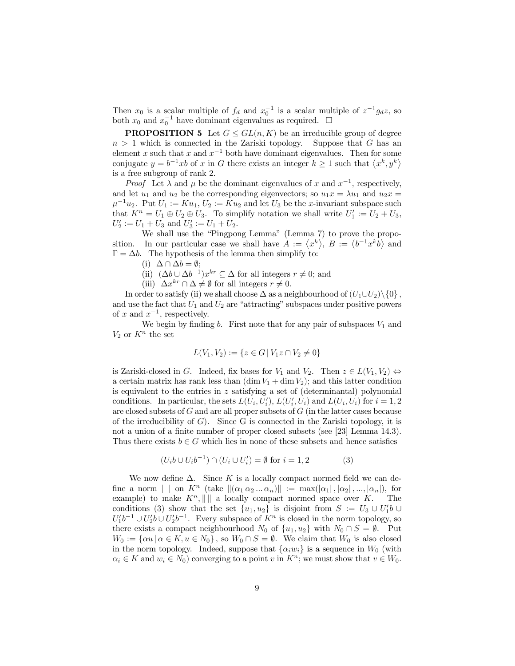Then  $x_0$  is a scalar multiple of  $f_d$  and  $x_0^{-1}$  is a scalar multiple of  $z^{-1}g_dz$ , so both  $x_0$  and  $x_0^{-1}$  have dominant eigenvalues as required.  $\Box$ 

**PROPOSITION 5** Let  $G \le GL(n, K)$  be an irreducible group of degree  $n > 1$  which is connected in the Zariski topology. Suppose that G has an element x such that x and  $x^{-1}$  both have dominant eigenvalues. Then for some conjugate  $y = b^{-1}xb$  of x in G there exists an integer  $k \ge 1$  such that  $\langle x^k, y^k \rangle$ is a free subgroup of rank 2.

*Proof* Let  $\lambda$  and  $\mu$  be the dominant eigenvalues of x and  $x^{-1}$ , respectively, and let  $u_1$  and  $u_2$  be the corresponding eigenvectors; so  $u_1x = \lambda u_1$  and  $u_2x =$  $\mu^{-1}u_2$ . Put  $U_1 := Ku_1, U_2 := Ku_2$  and let  $U_3$  be the x-invariant subspace such that  $K^n = U_1 \oplus U_2 \oplus U_3$ . To simplify notation we shall write  $U'_1 := U_2 + U_3$ ,  $U'_2 := U_1 + U_3$  and  $U'_3 := U_1 + U_2$ .

We shall use the "Pingpong Lemma" (Lemma 7) to prove the proposition. In our particular case we shall have  $A := \langle x^k \rangle, B := \langle b^{-1} x^k b \rangle$  and  $\Gamma = \Delta b$ . The hypothesis of the lemma then simplify to:

(i)  $\Delta \cap \Delta b = \emptyset;$ 

(ii)  $(\Delta b \cup \Delta b^{-1})x^{kr} \subseteq \Delta$  for all integers  $r \neq 0$ ; and

(iii)  $\Delta x^{kr} \cap \Delta \neq \emptyset$  for all integers  $r \neq 0$ .

In order to satisfy (ii) we shall choose  $\Delta$  as a neighbourhood of  $(U_1\cup U_2)\setminus\{0\}$ , and use the fact that  $U_1$  and  $U_2$  are "attracting" subspaces under positive powers of x and  $x^{-1}$ , respectively.

We begin by finding b. First note that for any pair of subspaces  $V_1$  and  $V_2$  or  $K^n$  the set

$$
L(V_1, V_2) := \{ z \in G \, | \, V_1 z \cap V_2 \neq 0 \}
$$

is Zariski-closed in G. Indeed, fix bases for  $V_1$  and  $V_2$ . Then  $z \in L(V_1, V_2) \Leftrightarrow$ a certain matrix has rank less than  $(\dim V_1 + \dim V_2)$ ; and this latter condition is equivalent to the entries in z satisfying a set of (determinantal) polynomial conditions. In particular, the sets  $L(U_i, U'_i)$ ,  $L(U'_i, U_i)$  and  $L(U_i, U_i)$  for  $i = 1, 2$ are closed subsets of  $G$  and are all proper subsets of  $G$  (in the latter cases because of the irreducibility of  $G$ ). Since G is connected in the Zariski topology, it is not a union of a finite number of proper closed subsets (see [23] Lemma 14.3). Thus there exists  $b \in G$  which lies in none of these subsets and hence satisfies

$$
(U_i b \cup U_i b^{-1}) \cap (U_i \cup U_i') = \emptyset \text{ for } i = 1, 2 \tag{3}
$$

We now define  $\Delta$ . Since K is a locally compact normed field we can define a norm  $\| \|\|$  on  $K^n$  (take  $\|(\alpha_1 \alpha_2 ... \alpha_n)\| := \max(|\alpha_1|, |\alpha_2|, ..., |\alpha_n|)$ , for example) to make  $K^n, \| \|$  a locally compact normed space over K. The example) to make  $K^n$ ,  $\| \, \|$  a locally compact normed space over K. conditions (3) show that the set  $\{u_1, u_2\}$  is disjoint from  $S := U_3 \cup U'_1 b \cup$  $U_1'b^{-1} \cup U_2'b \cup U_2'b^{-1}$ . Every subspace of  $K^n$  is closed in the norm topology, so there exists a compact neighbourhood  $N_0$  of  $\{u_1, u_2\}$  with  $N_0 \cap S = \emptyset$ . Put  $W_0 := {\alpha u \mid \alpha \in K, u \in N_0},$  so  $W_0 \cap S = \emptyset$ . We claim that  $W_0$  is also closed in the norm topology. Indeed, suppose that  $\{\alpha_i w_i\}$  is a sequence in  $W_0$  (with  $\alpha_i \in K$  and  $w_i \in N_0$ ) converging to a point v in  $K^n$ ; we must show that  $v \in W_0$ .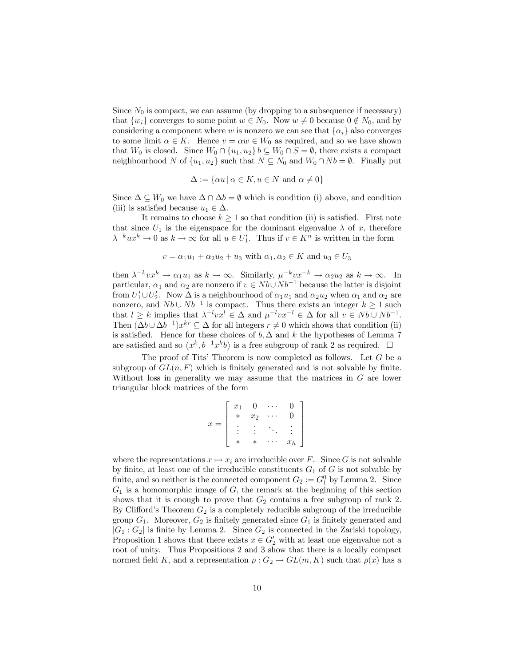Since  $N_0$  is compact, we can assume (by dropping to a subsequence if necessary) that  $\{w_i\}$  converges to some point  $w \in N_0$ . Now  $w \neq 0$  because  $0 \notin N_0$ , and by considering a component where w is nonzero we can see that  $\{\alpha_i\}$  also converges to some limit  $\alpha \in K$ . Hence  $v = \alpha w \in W_0$  as required, and so we have shown that  $W_0$  is closed. Since  $W_0 \cap \{u_1, u_2\}$   $b \subseteq W_0 \cap S = \emptyset$ , there exists a compact neighbourhood N of  $\{u_1, u_2\}$  such that  $N \subseteq N_0$  and  $W_0 \cap Nb = \emptyset$ . Finally put

$$
\Delta := \{ \alpha u \, | \, \alpha \in K, u \in N \text{ and } \alpha \neq 0 \}
$$

Since  $\Delta \subseteq W_0$  we have  $\Delta \cap \Delta b = \emptyset$  which is condition (i) above, and condition (iii) is satisfied because  $u_1 \in \Delta$ .

It remains to choose  $k \geq 1$  so that condition (ii) is satisfied. First note that since  $U_1$  is the eigenspace for the dominant eigenvalue  $\lambda$  of x, therefore  $\lambda^{-k}ux^k \to 0$  as  $k \to \infty$  for all  $u \in U'_1$ . Thus if  $v \in K^n$  is written in the form

$$
v = \alpha_1 u_1 + \alpha_2 u_2 + u_3 \text{ with } \alpha_1, \alpha_2 \in K \text{ and } u_3 \in U_3
$$

then  $\lambda^{-k}vx^k \to \alpha_1u_1$  as  $k \to \infty$ . Similarly,  $\mu^{-k}vx^{-k} \to \alpha_2u_2$  as  $k \to \infty$ . In particular,  $\alpha_1$  and  $\alpha_2$  are nonzero if  $v \in Nb\cup Nb^{-1}$  because the latter is disjoint from  $U'_1 \cup U'_2$ . Now  $\Delta$  is a neighbourhood of  $\alpha_1u_1$  and  $\alpha_2u_2$  when  $\alpha_1$  and  $\alpha_2$  are nonzero, and  $Nb \cup Nb^{-1}$  is compact. Thus there exists an integer  $k \ge 1$  such that  $l \geq k$  implies that  $\lambda^{-l}vx^l \in \Delta$  and  $\mu^{-l}vx^{-l} \in \Delta$  for all  $v \in Nb \cup Nb^{-1}$ . Then  $(\Delta b \cup \Delta b^{-1})x^{kr} \subseteq \Delta$  for all integers  $r \neq 0$  which shows that condition (ii) is satisfied. Hence for these choices of  $b, \Delta$  and k the hypotheses of Lemma 7 are satisfied and so  $\langle x^k, b^{-1}x^kb\rangle$  is a free subgroup of rank 2 as required.  $\Box$ 

The proof of Tits' Theorem is now completed as follows. Let G be a subgroup of  $GL(n, F)$  which is finitely generated and is not solvable by finite. Without loss in generality we may assume that the matrices in  $G$  are lower triangular block matrices of the form

$$
x = \left[ \begin{array}{cccc} x_1 & 0 & \cdots & 0 \\ * & x_2 & \cdots & 0 \\ \vdots & \vdots & \ddots & \vdots \\ * & * & \cdots & x_h \end{array} \right]
$$

where the representations  $x \mapsto x_i$  are irreducible over F. Since G is not solvable by finite, at least one of the irreducible constituents  $G_1$  of G is not solvable by finite, and so neither is the connected component  $G_2 := G_1^0$  by Lemma 2. Since  $G_1$  is a homomorphic image of  $G$ , the remark at the beginning of this section shows that it is enough to prove that  $G_2$  contains a free subgroup of rank 2. By Clifford's Theorem  $G_2$  is a completely reducible subgroup of the irreducible group  $G_1$ . Moreover,  $G_2$  is finitely generated since  $G_1$  is finitely generated and  $|G_1: G_2|$  is finite by Lemma 2. Since  $G_2$  is connected in the Zariski topology, Proposition 1 shows that there exists  $x \in G_2'$  with at least one eigenvalue not a root of unity. Thus Propositions 2 and 3 show that there is a locally compact normed field K; and a representation  $\rho: G_2 \to GL(m,K)$  such that  $\rho(x)$  has a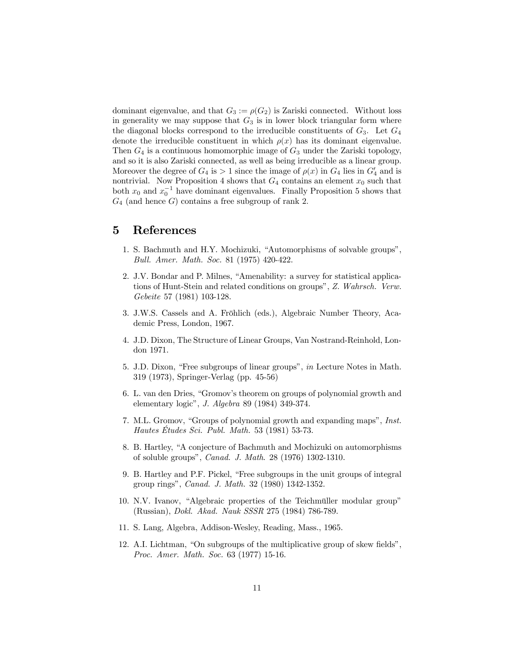dominant eigenvalue, and that  $G_3 := \rho(G_2)$  is Zariski connected. Without loss in generality we may suppose that  $G_3$  is in lower block triangular form where the diagonal blocks correspond to the irreducible constituents of  $G_3$ . Let  $G_4$ denote the irreducible constituent in which  $\rho(x)$  has its dominant eigenvalue. Then  $G_4$  is a continuous homomorphic image of  $G_3$  under the Zariski topology, and so it is also Zariski connected, as well as being irreducible as a linear group. Moreover the degree of  $G_4$  is  $> 1$  since the image of  $\rho(x)$  in  $G_4$  lies in  $G_4'$  and is nontrivial. Now Proposition 4 shows that  $G_4$  contains an element  $x_0$  such that both  $x_0$  and  $x_0^{-1}$  have dominant eigenvalues. Finally Proposition 5 shows that  $G_4$  (and hence G) contains a free subgroup of rank 2.

### 5 References

- 1. S. Bachmuth and H.Y. Mochizuki, "Automorphisms of solvable groups", *Bull. Amer. Math. Soc.* 81 (1975) 420-422.
- 2. J.V. Bondar and P. Milnes, "Amenability: a survey for statistical applications of Hunt-Stein and related conditions on groups", *Z. Wahrsch. Verw. Gebeite* 57 (1981) 103-128.
- 3. J.W.S. Cassels and A. Fröhlich (eds.), Algebraic Number Theory, Academic Press, London, 1967.
- 4. J.D. Dixon, The Structure of Linear Groups, Van Nostrand-Reinhold, London 1971.
- 5. J.D. Dixon, "Free subgroups of linear groups", *in* Lecture Notes in Math. 319 (1973), Springer-Verlag (pp. 45-56)
- 6. L. van den Dries, "Gromov's theorem on groups of polynomial growth and elementary logic", *J. Algebra* 89 (1984) 349-374.
- 7. M.L. Gromov, "Groups of polynomial growth and expanding maps", *Inst. Hautes Études Sci. Publ. Math.* 53 (1981) 53-73.
- 8. B. Hartley, "A conjecture of Bachmuth and Mochizuki on automorphisms of soluble groups", *Canad. J. Math*. 28 (1976) 1302-1310.
- 9. B. Hartley and P.F. Pickel, "Free subgroups in the unit groups of integral group rings", *Canad. J. Math.* 32 (1980) 1342-1352.
- 10. N.V. Ivanov, "Algebraic properties of the Teichmüller modular group" (Russian), *Dokl. Akad. Nauk SSSR* 275 (1984) 786-789.
- 11. S. Lang, Algebra, Addison-Wesley, Reading, Mass., 1965.
- 12. A.I. Lichtman, "On subgroups of the multiplicative group of skew fields", *Proc. Amer. Math. Soc.* 63 (1977) 15-16.